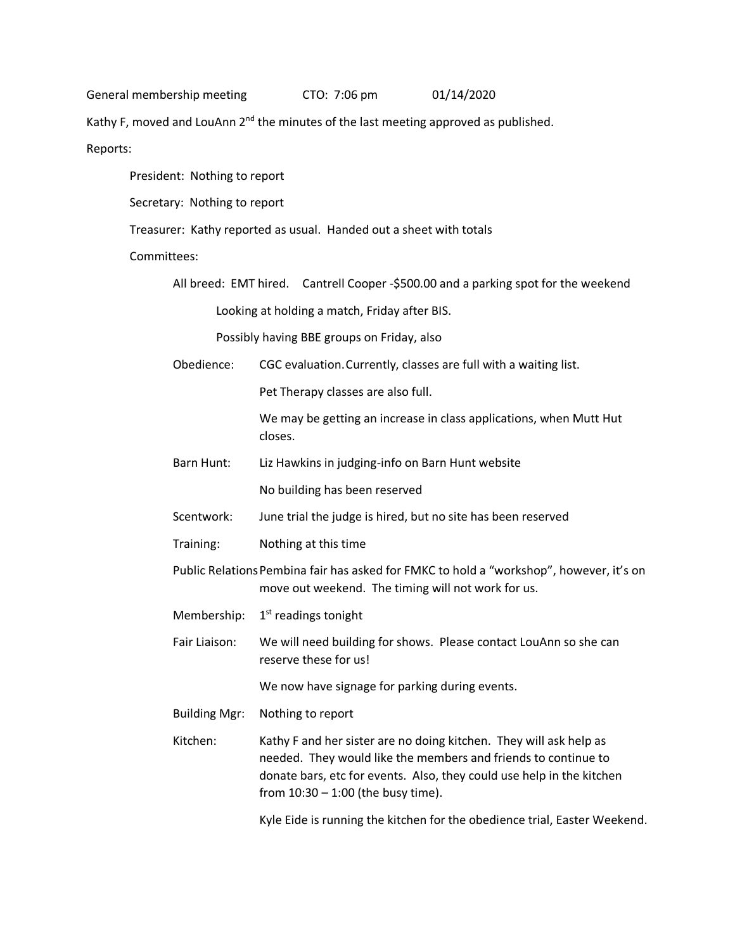General membership meeting CTO: 7:06 pm 01/14/2020

Kathy F, moved and LouAnn 2<sup>nd</sup> the minutes of the last meeting approved as published.

Reports:

President: Nothing to report

Secretary: Nothing to report

Treasurer: Kathy reported as usual. Handed out a sheet with totals

Committees:

All breed: EMT hired. Cantrell Cooper -\$500.00 and a parking spot for the weekend Looking at holding a match, Friday after BIS.

Possibly having BBE groups on Friday, also

Obedience: CGC evaluation.Currently, classes are full with a waiting list.

Pet Therapy classes are also full.

We may be getting an increase in class applications, when Mutt Hut closes.

Barn Hunt: Liz Hawkins in judging-info on Barn Hunt website

No building has been reserved

- Scentwork: June trial the judge is hired, but no site has been reserved
- Training: Nothing at this time

Public Relations Pembina fair has asked for FMKC to hold a "workshop", however, it's on move out weekend. The timing will not work for us.

- Membership: 1<sup>st</sup> readings tonight
- Fair Liaison: We will need building for shows. Please contact LouAnn so she can reserve these for us!

We now have signage for parking during events.

Building Mgr: Nothing to report

Kitchen: Kathy F and her sister are no doing kitchen. They will ask help as needed. They would like the members and friends to continue to donate bars, etc for events. Also, they could use help in the kitchen from 10:30 – 1:00 (the busy time).

Kyle Eide is running the kitchen for the obedience trial, Easter Weekend.